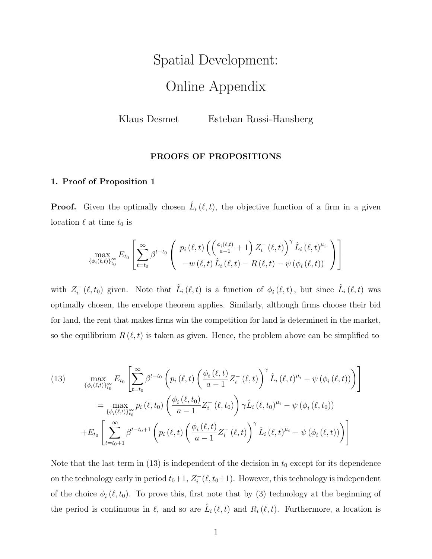# Spatial Development: Online Appendix

Klaus Desmet Esteban Rossi-Hansberg

### PROOFS OF PROPOSITIONS

#### 1. Proof of Proposition 1

**Proof.** Given the optimally chosen  $\hat{L}_i(\ell, t)$ , the objective function of a firm in a given location  $\ell$  at time  $t_0$  is

$$
\max_{\{\phi_i(\ell,t)\}_{t_0}^{\infty}} E_{t_0} \left[ \sum_{t=t_0}^{\infty} \beta^{t-t_0} \left( \begin{array}{c} p_i(\ell,t) \left( \left( \frac{\phi_i(\ell,t)}{a-1} + 1 \right) Z_i^-(\ell,t) \right)^\gamma \hat{L}_i(\ell,t)^{\mu_i} \\ -w(\ell,t) \hat{L}_i(\ell,t) - R(\ell,t) - \psi(\phi_i(\ell,t)) \end{array} \right) \right]
$$

with  $Z_i^ \hat{L}_i^-(\ell,t_0)$  given. Note that  $\hat{L}_i(\ell,t)$  is a function of  $\phi_i(\ell,t)$ , but since  $\hat{L}_i(\ell,t)$  was optimally chosen, the envelope theorem applies. Similarly, although firms choose their bid for land, the rent that makes firms win the competition for land is determined in the market, so the equilibrium  $R(\ell, t)$  is taken as given. Hence, the problem above can be simplified to

(13) 
$$
\max_{\{\phi_i(\ell,t)\}_{t_0}^{\infty}} E_{t_0} \left[ \sum_{t=t_0}^{\infty} \beta^{t-t_0} \left( p_i(\ell,t) \left( \frac{\phi_i(\ell,t)}{a-1} Z_i^-(\ell,t) \right)^{\gamma} \hat{L}_i(\ell,t)^{\mu_i} - \psi(\phi_i(\ell,t)) \right) \right]
$$

$$
= \max_{\{\phi_i(\ell,t)\}_{t_0}^{\infty}} p_i(\ell,t_0) \left( \frac{\phi_i(\ell,t_0)}{a-1} Z_i^-(\ell,t_0) \right) \gamma \hat{L}_i(\ell,t_0)^{\mu_i} - \psi(\phi_i(\ell,t_0))
$$

$$
+ E_{t_0} \left[ \sum_{t=t_0+1}^{\infty} \beta^{t-t_0+1} \left( p_i(\ell,t) \left( \frac{\phi_i(\ell,t)}{a-1} Z_i^-(\ell,t) \right)^{\gamma} \hat{L}_i(\ell,t)^{\mu_i} - \psi(\phi_i(\ell,t)) \right) \right]
$$

Note that the last term in (13) is independent of the decision in  $t_0$  except for its dependence on the technology early in period  $t_0+1$ ,  $Z_i^-(\ell, t_0+1)$ . However, this technology is independent of the choice  $\phi_i(\ell, t_0)$ . To prove this, first note that by (3) technology at the beginning of the period is continuous in  $\ell$ , and so are  $\hat{L}_i(\ell, t)$  and  $R_i(\ell, t)$ . Furthermore, a location is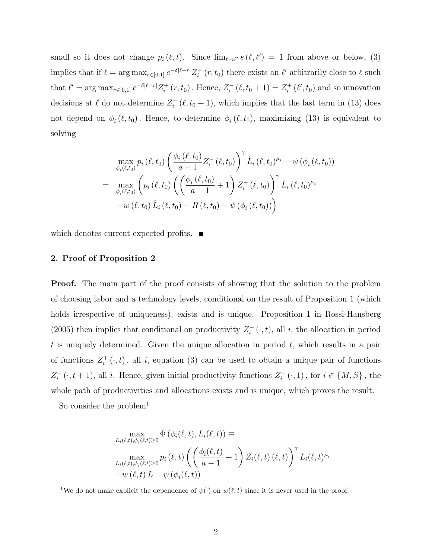small so it does not change  $p_i(\ell, t)$ . Since  $\lim_{\ell \to \ell'} s(\ell, \ell') = 1$  from above or below, (3) implies that if  $\ell = \arg \max_{r \in [0,1]} e^{-\delta |\ell - r|} Z_i^+$  $i_t^+(r, t_0)$  there exists an  $\ell'$  arbitrarily close to  $\ell$  such that  $\ell' = \arg \max_{r \in [0,1]} e^{-\delta |\ell - r|} Z_i^+$  $i^{+}(r, t_{0})$ . Hence,  $Z_{i}^{-}$  $\sum_{i}^{i} (\ell, t_0 + 1) = Z_i^+$  $i_t^{\dagger}(\ell', t_0)$  and so innovation decisions at  $\ell$  do not determine  $Z_i^ \int_{i}^{+} (\ell, t_0 + 1)$ , which implies that the last term in (13) does not depend on  $\phi_i(\ell, t_0)$ . Hence, to determine  $\phi_i(\ell, t_0)$ , maximizing (13) is equivalent to solving

$$
\max_{\phi_i(\ell,t_0)} p_i(\ell,t_0) \left( \frac{\phi_i(\ell,t_0)}{a-1} Z_i^-(\ell,t_0) \right)^{\gamma} \hat{L}_i(\ell,t_0)^{\mu_i} - \psi(\phi_i(\ell,t_0))
$$
\n
$$
= \max_{\phi_i(\ell,t_0)} \left( p_i(\ell,t_0) \left( \left( \frac{\phi_i(\ell,t_0)}{a-1} + 1 \right) Z_i^-(\ell,t_0) \right)^{\gamma} \hat{L}_i(\ell,t_0)^{\mu_i} - w(\ell,t_0) \hat{L}_i(\ell,t_0) - R(\ell,t_0) - \psi(\phi_i(\ell,t_0)) \right)
$$

which denotes current expected profits.  $\blacksquare$ 

#### 2. Proof of Proposition 2

**Proof.** The main part of the proof consists of showing that the solution to the problem of choosing labor and a technology levels, conditional on the result of Proposition 1 (which holds irrespective of uniqueness), exists and is unique. Proposition 1 in Rossi-Hansberg (2005) then implies that conditional on productivity  $Z_i^$  $i_{i}^{-}(\cdot,t)$ , all *i*, the allocation in period t is uniquely determined. Given the unique allocation in period  $t$ , which results in a pair of functions  $Z_i^+$  $i_t^+$  ( $\cdot$ , t), all i, equation (3) can be used to obtain a unique pair of functions  $Z_i^ \overline{z}_i^-(\cdot, t+1)$ , all *i*. Hence, given initial productivity functions  $Z_i^$  $i_{i}^{-}(\cdot,1)$ , for  $i \in \{M, S\}$ , the whole path of productivities and allocations exists and is unique, which proves the result.

So consider the problem<sup>1</sup>

$$
\max_{L_i(\ell,t),\phi_i(\ell,t)\geq 0} \Phi(\phi_i(\ell,t), L_i(\ell,t)) \equiv
$$
\n
$$
\max_{L_i(\ell,t),\phi_i(\ell,t)\geq 0} p_i(\ell,t) \left( \left( \frac{\phi_i(\ell,t)}{a-1} + 1 \right) Z_i(\ell,t) (\ell,t) \right)^{\gamma} L_i(\ell,t)^{\mu_i}
$$
\n
$$
-w(\ell,t) L - \psi(\phi_i(\ell,t))
$$

<sup>1</sup>We do not make explicit the dependence of  $\psi(\cdot)$  on  $w(\ell, t)$  since it is never used in the proof.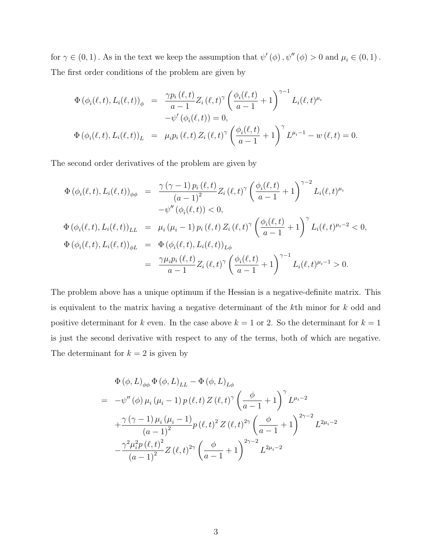for  $\gamma \in (0,1)$ . As in the text we keep the assumption that  $\psi'(\phi)$ ,  $\psi''(\phi) > 0$  and  $\mu_i \in (0,1)$ . The first order conditions of the problem are given by

$$
\Phi(\phi_i(\ell, t), L_i(\ell, t))_{\phi} = \frac{\gamma p_i(\ell, t)}{a - 1} Z_i(\ell, t)^{\gamma} \left(\frac{\phi_i(\ell, t)}{a - 1} + 1\right)^{\gamma - 1} L_i(\ell, t)^{\mu_i} \n- \psi'(\phi_i(\ell, t)) = 0, \n\Phi(\phi_i(\ell, t), L_i(\ell, t))_L = \mu_i p_i(\ell, t) Z_i(\ell, t)^{\gamma} \left(\frac{\phi_i(\ell, t)}{a - 1} + 1\right)^{\gamma} L^{\mu_i - 1} - w(\ell, t) = 0.
$$

The second order derivatives of the problem are given by

$$
\Phi(\phi_i(\ell, t), L_i(\ell, t))_{\phi\phi} = \frac{\gamma (\gamma - 1) p_i(\ell, t)}{(a - 1)^2} Z_i(\ell, t)^\gamma \left(\frac{\phi_i(\ell, t)}{a - 1} + 1\right)^{\gamma - 2} L_i(\ell, t)^{\mu_i} \n- \psi''(\phi_i(\ell, t)) < 0,
$$
\n
$$
\Phi(\phi_i(\ell, t), L_i(\ell, t))_{LL} = \mu_i (\mu_i - 1) p_i(\ell, t) Z_i(\ell, t)^\gamma \left(\frac{\phi_i(\ell, t)}{a - 1} + 1\right)^\gamma L_i(\ell, t)^{\mu_i - 2} < 0,
$$
\n
$$
\Phi(\phi_i(\ell, t), L_i(\ell, t))_{\phi L} = \Phi(\phi_i(\ell, t), L_i(\ell, t))_{L\phi} \n= \frac{\gamma \mu_i p_i(\ell, t)}{a - 1} Z_i(\ell, t)^\gamma \left(\frac{\phi_i(\ell, t)}{a - 1} + 1\right)^{\gamma - 1} L_i(\ell, t)^{\mu_i - 1} > 0.
$$

The problem above has a unique optimum if the Hessian is a negative-definite matrix. This is equivalent to the matrix having a negative determinant of the kth minor for k odd and positive determinant for k even. In the case above  $k = 1$  or 2. So the determinant for  $k = 1$ is just the second derivative with respect to any of the terms, both of which are negative. The determinant for  $k = 2$  is given by

$$
\Phi(\phi, L)_{\phi\phi} \Phi(\phi, L)_{LL} - \Phi(\phi, L)_{L\phi}
$$
\n
$$
= -\psi''(\phi) \mu_i (\mu_i - 1) p(\ell, t) Z(\ell, t)^\gamma \left(\frac{\phi}{a - 1} + 1\right)^\gamma L^{\mu_i - 2}
$$
\n
$$
+ \frac{\gamma (\gamma - 1) \mu_i (\mu_i - 1)}{(a - 1)^2} p(\ell, t)^2 Z(\ell, t)^{2\gamma} \left(\frac{\phi}{a - 1} + 1\right)^{2\gamma - 2} L^{2\mu_i - 2}
$$
\n
$$
- \frac{\gamma^2 \mu_i^2 p(\ell, t)^2}{(a - 1)^2} Z(\ell, t)^{2\gamma} \left(\frac{\phi}{a - 1} + 1\right)^{2\gamma - 2} L^{2\mu_i - 2}
$$